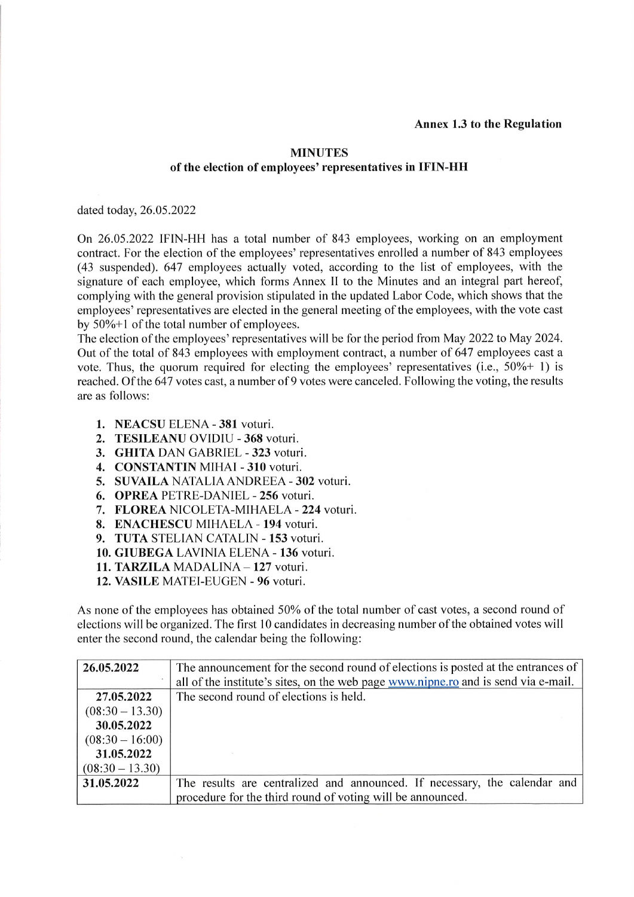## **MINUTES** of the election of employees' representatives in IFIN-HH

dated today, 26.05.2022

On 26.05.2022 IFIN-HH has a total number of 843 employees, working on an employment contract. For the election of the employees' representatives enrolled a number of 843 employees (43 suspended). 647 employees actually voted, according to the list of employees, with the signature of each employee, which forms Annex II to the Minutes and an integral part hereof, complying with the general provision stipulated in the updated Labor Code, which shows that the employees'representatives are elected in the general meeting of the employees, with the vote cast by  $50\% + 1$  of the total number of employees.

The election of the employees' representatives will be for the period from May 2022 to May 2024. Out of the total of 843 employees with employment contract, a number of 647 employees cast a vote. Thus, the quorum required for electing the employees' representatives (i.e.,  $50\% + 1$ ) is reached. Of the 647 votes cast, a number of 9 votes were canceled. Following the voting, the results are as follows:

- 1. NEACSU ELENA 381 voturi.
- 2. TESILEANU OVIDIU 368 voturi.
- 3. GHITA DAN GABRIEL 323 voturi.
- 4. CONSTANTIN MIHAI 310 voturi.
- 5. SUVAILA NATALIA ANDREEA 302 voturi.
- 6. OPREA PETRE-DANIEL 256 voturi.
- 7. FLOREA NICOLETA-MIHAELA 224 voturi.
- 8. ENACHESCU MIHAELA 194 voturi.
- 9. TUTA STELIAN CATALIN 153 voturi.
- 10. GIUBEGA LAVINIA ELENA 136 voturi.
- 11. TARZILA MADALINA 127 voturi.
- 12. VASILE MATEI-EUGEN 96 voturi.

As none of the employees has obtained 50% of the total number of cast votes, a second round of elections will be organized. The first 10 candidates in decreasing number of the obtained votes will enter the second round, the calendar being the following:

| 26.05.2022        | The announcement for the second round of elections is posted at the entrances of   |
|-------------------|------------------------------------------------------------------------------------|
|                   | all of the institute's sites, on the web page www.nipne.ro and is send via e-mail. |
| 27.05.2022        | The second round of elections is held.                                             |
| $(08:30 - 13.30)$ |                                                                                    |
| 30.05.2022        |                                                                                    |
| $(08:30 - 16:00)$ |                                                                                    |
| 31.05.2022        |                                                                                    |
| $(08:30 - 13.30)$ |                                                                                    |
| 31.05.2022        | The results are centralized and announced. If necessary, the calendar and          |
|                   | procedure for the third round of voting will be announced.                         |